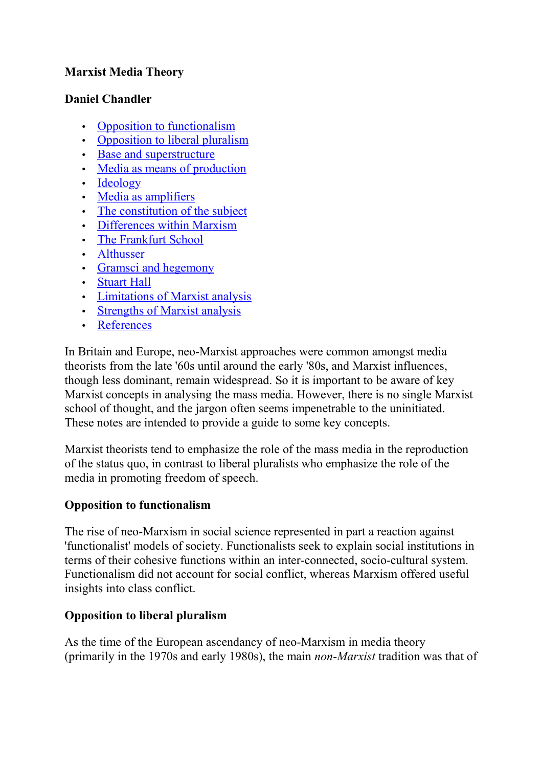## **Marxist Media Theory**

## **Daniel Chandler**

- • [Opposition to functionalism](http://www.hongik.edu/~yhyo/marxism.html#A)
- [Opposition to liberal pluralism](http://www.hongik.edu/~yhyo/marxism.html#B)
- [Base and superstructure](http://www.hongik.edu/~yhyo/marxism.html#C)
- [Media as means of production](http://www.hongik.edu/~yhyo/marxism.html#D)
- • [Ideology](http://www.hongik.edu/~yhyo/marxism.html#E)
- • [Media as amplifiers](http://www.hongik.edu/~yhyo/marxism.html#F)
- [The constitution of the subject](http://www.hongik.edu/~yhyo/marxism.html#G)
- [Differences within Marxism](http://www.hongik.edu/~yhyo/marxism.html#H)
- • [The Frankfurt School](http://www.hongik.edu/~yhyo/marxism.html#I)
- • [Althusser](http://www.hongik.edu/~yhyo/marxism.html#J)
- • [Gramsci and hegemony](http://www.hongik.edu/~yhyo/marxism.html#K)
- • [Stuart Hall](http://www.hongik.edu/~yhyo/marxism.html#L)
- [Limitations of Marxist analysis](http://www.hongik.edu/~yhyo/marxism.html#M)
- [Strengths of Marxist analysis](http://www.hongik.edu/~yhyo/marxism.html#N)
- • [References](http://www.hongik.edu/~yhyo/marxism.html#O)

In Britain and Europe, neo-Marxist approaches were common amongst media theorists from the late '60s until around the early '80s, and Marxist influences, though less dominant, remain widespread. So it is important to be aware of key Marxist concepts in analysing the mass media. However, there is no single Marxist school of thought, and the jargon often seems impenetrable to the uninitiated. These notes are intended to provide a guide to some key concepts.

Marxist theorists tend to emphasize the role of the mass media in the reproduction of the status quo, in contrast to liberal pluralists who emphasize the role of the media in promoting freedom of speech.

# **Opposition to functionalism**

The rise of neo-Marxism in social science represented in part a reaction against 'functionalist' models of society. Functionalists seek to explain social institutions in terms of their cohesive functions within an inter-connected, socio-cultural system. Functionalism did not account for social conflict, whereas Marxism offered useful insights into class conflict.

# **Opposition to liberal pluralism**

As the time of the European ascendancy of neo-Marxism in media theory (primarily in the 1970s and early 1980s), the main *non-Marxist* tradition was that of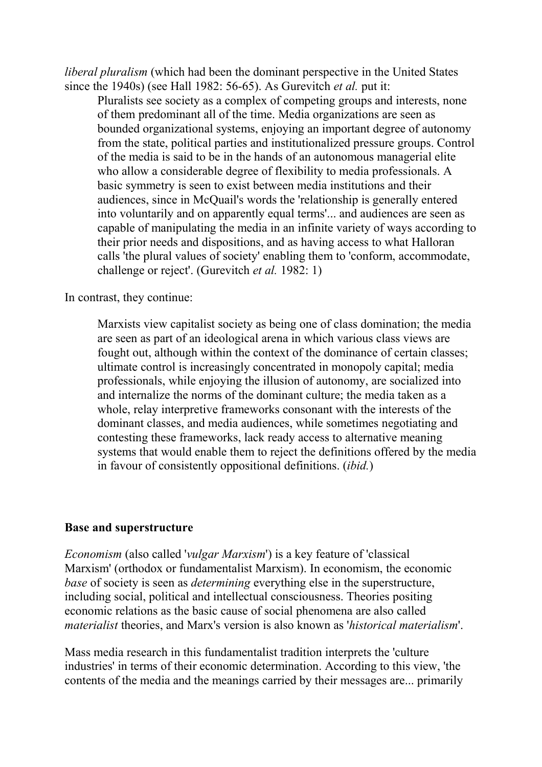*liberal pluralism* (which had been the dominant perspective in the United States since the 1940s) (see Hall 1982: 56-65). As Gurevitch *et al.* put it:

Pluralists see society as a complex of competing groups and interests, none of them predominant all of the time. Media organizations are seen as bounded organizational systems, enjoying an important degree of autonomy from the state, political parties and institutionalized pressure groups. Control of the media is said to be in the hands of an autonomous managerial elite who allow a considerable degree of flexibility to media professionals. A basic symmetry is seen to exist between media institutions and their audiences, since in McQuail's words the 'relationship is generally entered into voluntarily and on apparently equal terms'... and audiences are seen as capable of manipulating the media in an infinite variety of ways according to their prior needs and dispositions, and as having access to what Halloran calls 'the plural values of society' enabling them to 'conform, accommodate, challenge or reject'. (Gurevitch *et al.* 1982: 1)

In contrast, they continue:

Marxists view capitalist society as being one of class domination; the media are seen as part of an ideological arena in which various class views are fought out, although within the context of the dominance of certain classes; ultimate control is increasingly concentrated in monopoly capital; media professionals, while enjoying the illusion of autonomy, are socialized into and internalize the norms of the dominant culture; the media taken as a whole, relay interpretive frameworks consonant with the interests of the dominant classes, and media audiences, while sometimes negotiating and contesting these frameworks, lack ready access to alternative meaning systems that would enable them to reject the definitions offered by the media in favour of consistently oppositional definitions. (*ibid.*)

#### **Base and superstructure**

*Economism* (also called '*vulgar Marxism*') is a key feature of 'classical Marxism' (orthodox or fundamentalist Marxism). In economism, the economic *base* of society is seen as *determining* everything else in the superstructure, including social, political and intellectual consciousness. Theories positing economic relations as the basic cause of social phenomena are also called *materialist* theories, and Marx's version is also known as '*historical materialism*'.

Mass media research in this fundamentalist tradition interprets the 'culture industries' in terms of their economic determination. According to this view, 'the contents of the media and the meanings carried by their messages are... primarily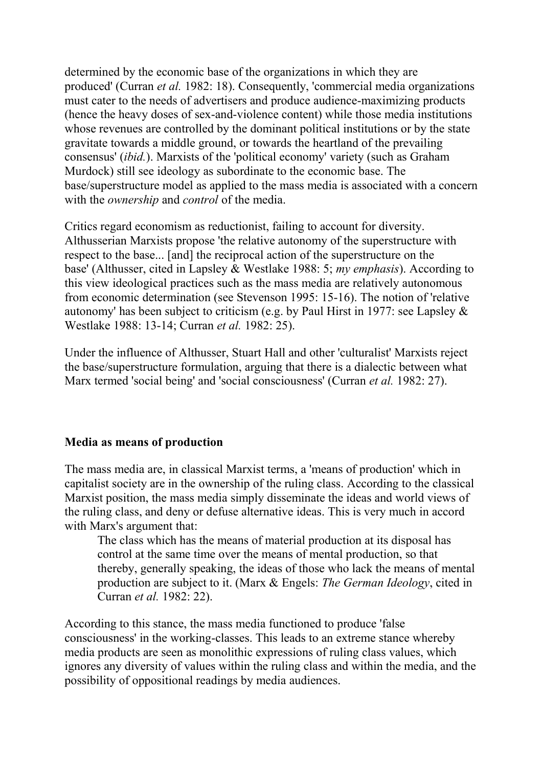determined by the economic base of the organizations in which they are produced' (Curran *et al.* 1982: 18). Consequently, 'commercial media organizations must cater to the needs of advertisers and produce audience-maximizing products (hence the heavy doses of sex-and-violence content) while those media institutions whose revenues are controlled by the dominant political institutions or by the state gravitate towards a middle ground, or towards the heartland of the prevailing consensus' (*ibid.*). Marxists of the 'political economy' variety (such as Graham Murdock) still see ideology as subordinate to the economic base. The base/superstructure model as applied to the mass media is associated with a concern with the *ownership* and *control* of the media.

Critics regard economism as reductionist, failing to account for diversity. Althusserian Marxists propose 'the relative autonomy of the superstructure with respect to the base... [and] the reciprocal action of the superstructure on the base' (Althusser, cited in Lapsley & Westlake 1988: 5; *my emphasis*). According to this view ideological practices such as the mass media are relatively autonomous from economic determination (see Stevenson 1995: 15-16). The notion of 'relative autonomy' has been subject to criticism (e.g. by Paul Hirst in 1977: see Lapsley & Westlake 1988: 13-14; Curran *et al.* 1982: 25).

Under the influence of Althusser, Stuart Hall and other 'culturalist' Marxists reject the base/superstructure formulation, arguing that there is a dialectic between what Marx termed 'social being' and 'social consciousness' (Curran *et al.* 1982: 27).

## **Media as means of production**

The mass media are, in classical Marxist terms, a 'means of production' which in capitalist society are in the ownership of the ruling class. According to the classical Marxist position, the mass media simply disseminate the ideas and world views of the ruling class, and deny or defuse alternative ideas. This is very much in accord with Marx's argument that:

The class which has the means of material production at its disposal has control at the same time over the means of mental production, so that thereby, generally speaking, the ideas of those who lack the means of mental production are subject to it. (Marx & Engels: *The German Ideology*, cited in Curran *et al.* 1982: 22).

According to this stance, the mass media functioned to produce 'false consciousness' in the working-classes. This leads to an extreme stance whereby media products are seen as monolithic expressions of ruling class values, which ignores any diversity of values within the ruling class and within the media, and the possibility of oppositional readings by media audiences.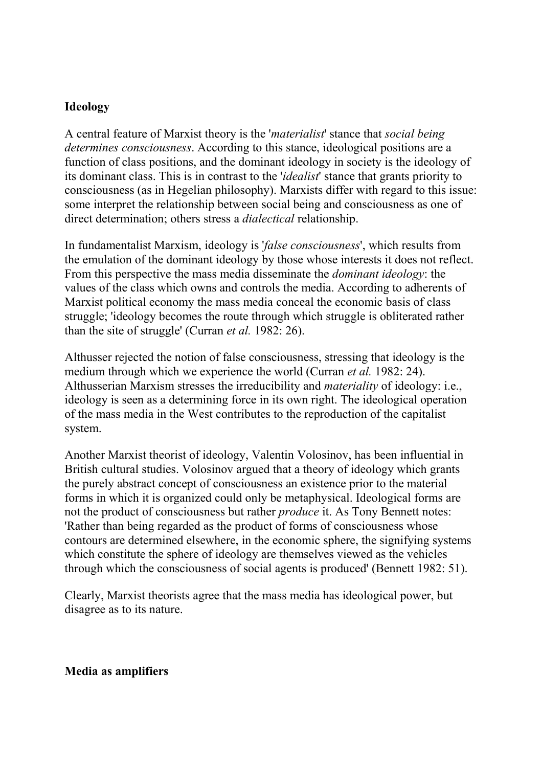### **Ideology**

A central feature of Marxist theory is the '*materialist*' stance that *social being determines consciousness*. According to this stance, ideological positions are a function of class positions, and the dominant ideology in society is the ideology of its dominant class. This is in contrast to the '*idealist*' stance that grants priority to consciousness (as in Hegelian philosophy). Marxists differ with regard to this issue: some interpret the relationship between social being and consciousness as one of direct determination; others stress a *dialectical* relationship.

In fundamentalist Marxism, ideology is '*false consciousness*', which results from the emulation of the dominant ideology by those whose interests it does not reflect. From this perspective the mass media disseminate the *dominant ideology*: the values of the class which owns and controls the media. According to adherents of Marxist political economy the mass media conceal the economic basis of class struggle; 'ideology becomes the route through which struggle is obliterated rather than the site of struggle' (Curran *et al.* 1982: 26).

Althusser rejected the notion of false consciousness, stressing that ideology is the medium through which we experience the world (Curran *et al.* 1982: 24). Althusserian Marxism stresses the irreducibility and *materiality* of ideology: i.e., ideology is seen as a determining force in its own right. The ideological operation of the mass media in the West contributes to the reproduction of the capitalist system.

Another Marxist theorist of ideology, Valentin Volosinov, has been influential in British cultural studies. Volosinov argued that a theory of ideology which grants the purely abstract concept of consciousness an existence prior to the material forms in which it is organized could only be metaphysical. Ideological forms are not the product of consciousness but rather *produce* it. As Tony Bennett notes: 'Rather than being regarded as the product of forms of consciousness whose contours are determined elsewhere, in the economic sphere, the signifying systems which constitute the sphere of ideology are themselves viewed as the vehicles through which the consciousness of social agents is produced' (Bennett 1982: 51).

Clearly, Marxist theorists agree that the mass media has ideological power, but disagree as to its nature.

#### **Media as amplifiers**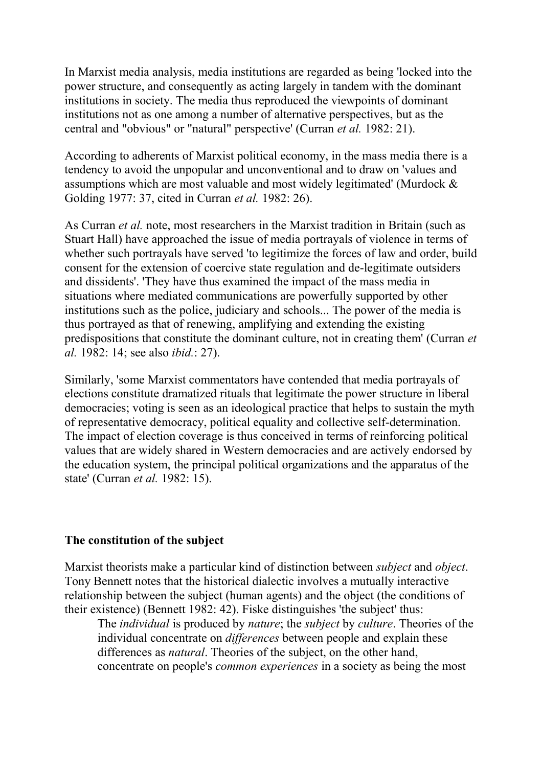In Marxist media analysis, media institutions are regarded as being 'locked into the power structure, and consequently as acting largely in tandem with the dominant institutions in society. The media thus reproduced the viewpoints of dominant institutions not as one among a number of alternative perspectives, but as the central and "obvious" or "natural" perspective' (Curran *et al.* 1982: 21).

According to adherents of Marxist political economy, in the mass media there is a tendency to avoid the unpopular and unconventional and to draw on 'values and assumptions which are most valuable and most widely legitimated' (Murdock & Golding 1977: 37, cited in Curran *et al.* 1982: 26).

As Curran *et al.* note, most researchers in the Marxist tradition in Britain (such as Stuart Hall) have approached the issue of media portrayals of violence in terms of whether such portrayals have served 'to legitimize the forces of law and order, build consent for the extension of coercive state regulation and de-legitimate outsiders and dissidents'. 'They have thus examined the impact of the mass media in situations where mediated communications are powerfully supported by other institutions such as the police, judiciary and schools... The power of the media is thus portrayed as that of renewing, amplifying and extending the existing predispositions that constitute the dominant culture, not in creating them' (Curran *et al.* 1982: 14; see also *ibid.*: 27).

Similarly, 'some Marxist commentators have contended that media portrayals of elections constitute dramatized rituals that legitimate the power structure in liberal democracies; voting is seen as an ideological practice that helps to sustain the myth of representative democracy, political equality and collective self-determination. The impact of election coverage is thus conceived in terms of reinforcing political values that are widely shared in Western democracies and are actively endorsed by the education system, the principal political organizations and the apparatus of the state' (Curran *et al.* 1982: 15).

#### **The constitution of the subject**

Marxist theorists make a particular kind of distinction between *subject* and *object*. Tony Bennett notes that the historical dialectic involves a mutually interactive relationship between the subject (human agents) and the object (the conditions of their existence) (Bennett 1982: 42). Fiske distinguishes 'the subject' thus:

The *individual* is produced by *nature*; the *subject* by *culture*. Theories of the individual concentrate on *differences* between people and explain these differences as *natural*. Theories of the subject, on the other hand, concentrate on people's *common experiences* in a society as being the most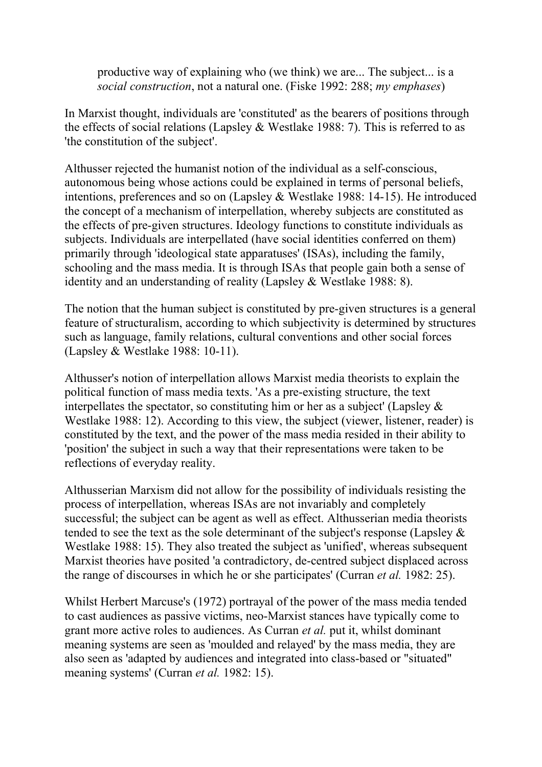productive way of explaining who (we think) we are... The subject... is a *social construction*, not a natural one. (Fiske 1992: 288; *my emphases*)

In Marxist thought, individuals are 'constituted' as the bearers of positions through the effects of social relations (Lapsley  $&$  Westlake 1988: 7). This is referred to as 'the constitution of the subject'.

Althusser rejected the humanist notion of the individual as a self-conscious, autonomous being whose actions could be explained in terms of personal beliefs, intentions, preferences and so on (Lapsley & Westlake 1988: 14-15). He introduced the concept of a mechanism of interpellation, whereby subjects are constituted as the effects of pre-given structures. Ideology functions to constitute individuals as subjects. Individuals are interpellated (have social identities conferred on them) primarily through 'ideological state apparatuses' (ISAs), including the family, schooling and the mass media. It is through ISAs that people gain both a sense of identity and an understanding of reality (Lapsley & Westlake 1988: 8).

The notion that the human subject is constituted by pre-given structures is a general feature of structuralism, according to which subjectivity is determined by structures such as language, family relations, cultural conventions and other social forces (Lapsley & Westlake 1988: 10-11).

Althusser's notion of interpellation allows Marxist media theorists to explain the political function of mass media texts. 'As a pre-existing structure, the text interpellates the spectator, so constituting him or her as a subject' (Lapsley  $\&$ Westlake 1988: 12). According to this view, the subject (viewer, listener, reader) is constituted by the text, and the power of the mass media resided in their ability to 'position' the subject in such a way that their representations were taken to be reflections of everyday reality.

Althusserian Marxism did not allow for the possibility of individuals resisting the process of interpellation, whereas ISAs are not invariably and completely successful; the subject can be agent as well as effect. Althusserian media theorists tended to see the text as the sole determinant of the subject's response (Lapsley & Westlake 1988: 15). They also treated the subject as 'unified', whereas subsequent Marxist theories have posited 'a contradictory, de-centred subject displaced across the range of discourses in which he or she participates' (Curran *et al.* 1982: 25).

Whilst Herbert Marcuse's (1972) portrayal of the power of the mass media tended to cast audiences as passive victims, neo-Marxist stances have typically come to grant more active roles to audiences. As Curran *et al.* put it, whilst dominant meaning systems are seen as 'moulded and relayed' by the mass media, they are also seen as 'adapted by audiences and integrated into class-based or "situated" meaning systems' (Curran *et al.* 1982: 15).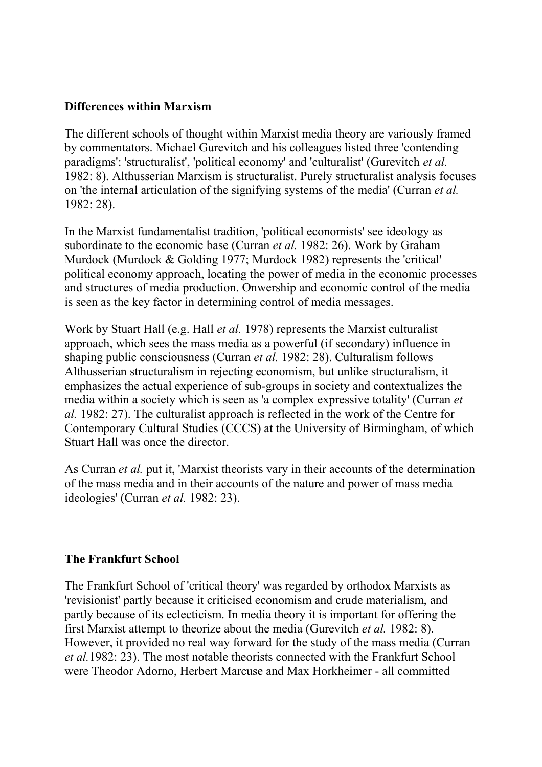#### **Differences within Marxism**

The different schools of thought within Marxist media theory are variously framed by commentators. Michael Gurevitch and his colleagues listed three 'contending paradigms': 'structuralist', 'political economy' and 'culturalist' (Gurevitch *et al.* 1982: 8). Althusserian Marxism is structuralist. Purely structuralist analysis focuses on 'the internal articulation of the signifying systems of the media' (Curran *et al.* 1982: 28).

In the Marxist fundamentalist tradition, 'political economists' see ideology as subordinate to the economic base (Curran *et al.* 1982: 26). Work by Graham Murdock (Murdock & Golding 1977; Murdock 1982) represents the 'critical' political economy approach, locating the power of media in the economic processes and structures of media production. Onwership and economic control of the media is seen as the key factor in determining control of media messages.

Work by Stuart Hall (e.g. Hall *et al.* 1978) represents the Marxist culturalist approach, which sees the mass media as a powerful (if secondary) influence in shaping public consciousness (Curran *et al.* 1982: 28). Culturalism follows Althusserian structuralism in rejecting economism, but unlike structuralism, it emphasizes the actual experience of sub-groups in society and contextualizes the media within a society which is seen as 'a complex expressive totality' (Curran *et al.* 1982: 27). The culturalist approach is reflected in the work of the Centre for Contemporary Cultural Studies (CCCS) at the University of Birmingham, of which Stuart Hall was once the director.

As Curran *et al.* put it, 'Marxist theorists vary in their accounts of the determination of the mass media and in their accounts of the nature and power of mass media ideologies' (Curran *et al.* 1982: 23).

#### **The Frankfurt School**

The Frankfurt School of 'critical theory' was regarded by orthodox Marxists as 'revisionist' partly because it criticised economism and crude materialism, and partly because of its eclecticism. In media theory it is important for offering the first Marxist attempt to theorize about the media (Gurevitch *et al.* 1982: 8). However, it provided no real way forward for the study of the mass media (Curran *et al.*1982: 23). The most notable theorists connected with the Frankfurt School were Theodor Adorno, Herbert Marcuse and Max Horkheimer - all committed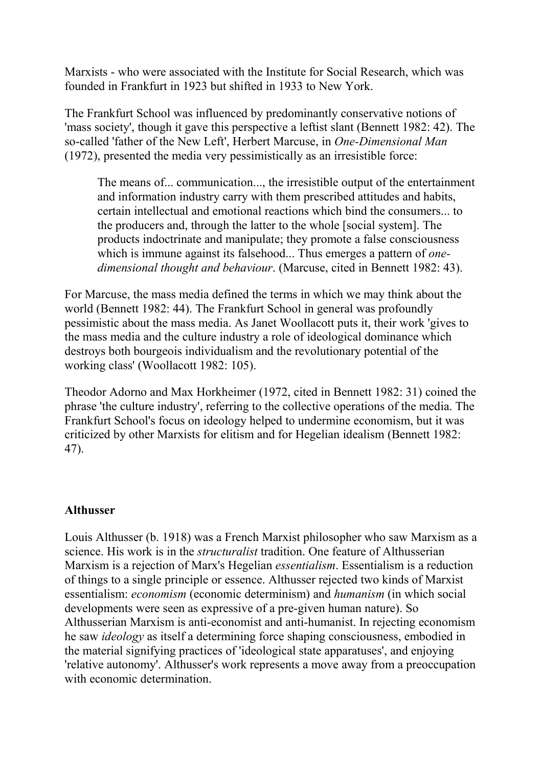Marxists - who were associated with the Institute for Social Research, which was founded in Frankfurt in 1923 but shifted in 1933 to New York.

The Frankfurt School was influenced by predominantly conservative notions of 'mass society', though it gave this perspective a leftist slant (Bennett 1982: 42). The so-called 'father of the New Left', Herbert Marcuse, in *One-Dimensional Man* (1972), presented the media very pessimistically as an irresistible force:

The means of... communication..., the irresistible output of the entertainment and information industry carry with them prescribed attitudes and habits, certain intellectual and emotional reactions which bind the consumers... to the producers and, through the latter to the whole [social system]. The products indoctrinate and manipulate; they promote a false consciousness which is immune against its falsehood... Thus emerges a pattern of *onedimensional thought and behaviour*. (Marcuse, cited in Bennett 1982: 43).

For Marcuse, the mass media defined the terms in which we may think about the world (Bennett 1982: 44). The Frankfurt School in general was profoundly pessimistic about the mass media. As Janet Woollacott puts it, their work 'gives to the mass media and the culture industry a role of ideological dominance which destroys both bourgeois individualism and the revolutionary potential of the working class' (Woollacott 1982: 105).

Theodor Adorno and Max Horkheimer (1972, cited in Bennett 1982: 31) coined the phrase 'the culture industry', referring to the collective operations of the media. The Frankfurt School's focus on ideology helped to undermine economism, but it was criticized by other Marxists for elitism and for Hegelian idealism (Bennett 1982: 47).

## **Althusser**

Louis Althusser (b. 1918) was a French Marxist philosopher who saw Marxism as a science. His work is in the *structuralist* tradition. One feature of Althusserian Marxism is a rejection of Marx's Hegelian *essentialism*. Essentialism is a reduction of things to a single principle or essence. Althusser rejected two kinds of Marxist essentialism: *economism* (economic determinism) and *humanism* (in which social developments were seen as expressive of a pre-given human nature). So Althusserian Marxism is anti-economist and anti-humanist. In rejecting economism he saw *ideology* as itself a determining force shaping consciousness, embodied in the material signifying practices of 'ideological state apparatuses', and enjoying 'relative autonomy'. Althusser's work represents a move away from a preoccupation with economic determination.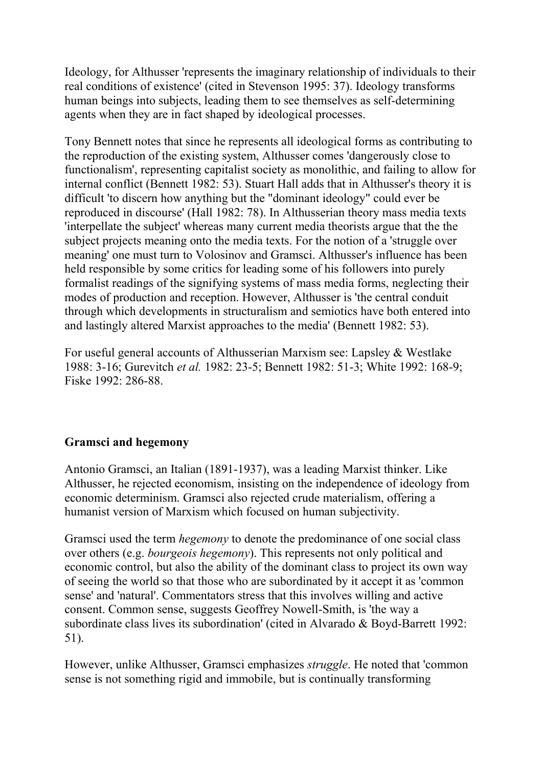Ideology, for Althusser 'represents the imaginary relationship of individuals to their real conditions of existence' (cited in Stevenson 1995: 37). Ideology transforms human beings into subjects, leading them to see themselves as self-determining agents when they are in fact shaped by ideological processes.

Tony Bennett notes that since he represents all ideological forms as contributing to the reproduction of the existing system, Althusser comes 'dangerously close to functionalism', representing capitalist society as monolithic, and failing to allow for internal conflict (Bennett 1982: 53). Stuart Hall adds that in Althusser's theory it is difficult 'to discern how anything but the "dominant ideology" could ever be reproduced in discourse' (Hall 1982: 78). In Althusserian theory mass media texts 'interpellate the subject' whereas many current media theorists argue that the the subject projects meaning onto the media texts. For the notion of a 'struggle over meaning' one must turn to Volosinov and Gramsci. Althusser's influence has been held responsible by some critics for leading some of his followers into purely formalist readings of the signifying systems of mass media forms, neglecting their modes of production and reception. However, Althusser is 'the central conduit through which developments in structuralism and semiotics have both entered into and lastingly altered Marxist approaches to the media' (Bennett 1982: 53).

For useful general accounts of Althusserian Marxism see: Lapsley & Westlake 1988: 3-16; Gurevitch *et al.* 1982: 23-5; Bennett 1982: 51-3; White 1992: 168-9; Fiske 1992: 286-88.

# **Gramsci and hegemony**

Antonio Gramsci, an Italian (1891-1937), was a leading Marxist thinker. Like Althusser, he rejected economism, insisting on the independence of ideology from economic determinism. Gramsci also rejected crude materialism, offering a humanist version of Marxism which focused on human subjectivity.

Gramsci used the term *hegemony* to denote the predominance of one social class over others (e.g. *bourgeois hegemony*). This represents not only political and economic control, but also the ability of the dominant class to project its own way of seeing the world so that those who are subordinated by it accept it as 'common sense' and 'natural'. Commentators stress that this involves willing and active consent. Common sense, suggests Geoffrey Nowell-Smith, is 'the way a subordinate class lives its subordination' (cited in Alvarado & Boyd-Barrett 1992: 51).

However, unlike Althusser, Gramsci emphasizes *struggle*. He noted that 'common sense is not something rigid and immobile, but is continually transforming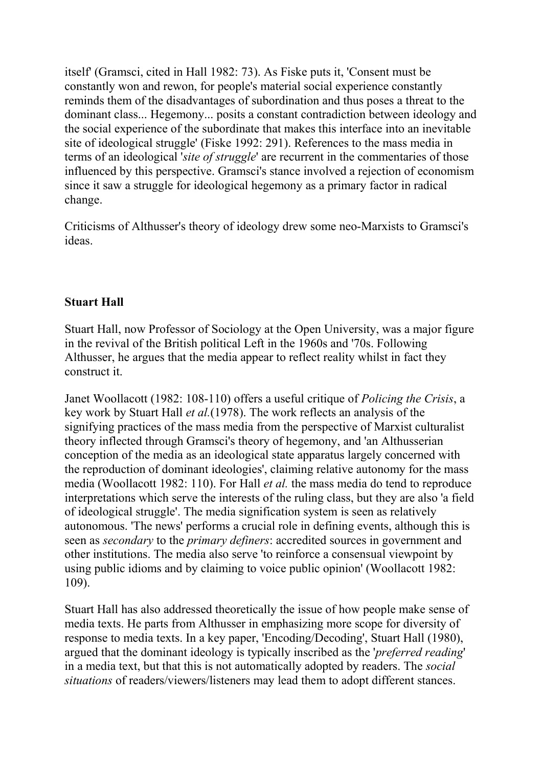itself' (Gramsci, cited in Hall 1982: 73). As Fiske puts it, 'Consent must be constantly won and rewon, for people's material social experience constantly reminds them of the disadvantages of subordination and thus poses a threat to the dominant class... Hegemony... posits a constant contradiction between ideology and the social experience of the subordinate that makes this interface into an inevitable site of ideological struggle' (Fiske 1992: 291). References to the mass media in terms of an ideological '*site of struggle*' are recurrent in the commentaries of those influenced by this perspective. Gramsci's stance involved a rejection of economism since it saw a struggle for ideological hegemony as a primary factor in radical change.

Criticisms of Althusser's theory of ideology drew some neo-Marxists to Gramsci's ideas.

## **Stuart Hall**

Stuart Hall, now Professor of Sociology at the Open University, was a major figure in the revival of the British political Left in the 1960s and '70s. Following Althusser, he argues that the media appear to reflect reality whilst in fact they construct it.

Janet Woollacott (1982: 108-110) offers a useful critique of *Policing the Crisis*, a key work by Stuart Hall *et al.*(1978). The work reflects an analysis of the signifying practices of the mass media from the perspective of Marxist culturalist theory inflected through Gramsci's theory of hegemony, and 'an Althusserian conception of the media as an ideological state apparatus largely concerned with the reproduction of dominant ideologies', claiming relative autonomy for the mass media (Woollacott 1982: 110). For Hall *et al.* the mass media do tend to reproduce interpretations which serve the interests of the ruling class, but they are also 'a field of ideological struggle'. The media signification system is seen as relatively autonomous. 'The news' performs a crucial role in defining events, although this is seen as *secondary* to the *primary definers*: accredited sources in government and other institutions. The media also serve 'to reinforce a consensual viewpoint by using public idioms and by claiming to voice public opinion' (Woollacott 1982: 109).

Stuart Hall has also addressed theoretically the issue of how people make sense of media texts. He parts from Althusser in emphasizing more scope for diversity of response to media texts. In a key paper, 'Encoding/Decoding', Stuart Hall (1980), argued that the dominant ideology is typically inscribed as the '*preferred reading*' in a media text, but that this is not automatically adopted by readers. The *social situations* of readers/viewers/listeners may lead them to adopt different stances.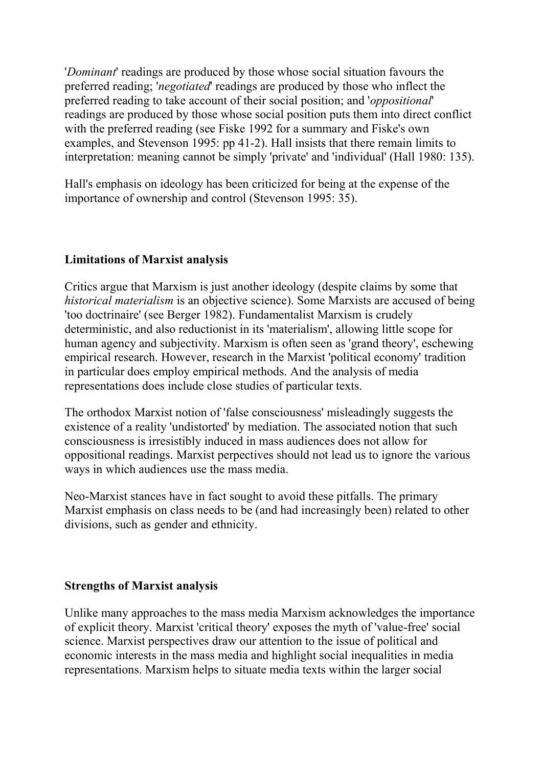'*Dominant*' readings are produced by those whose social situation favours the preferred reading; '*negotiated*' readings are produced by those who inflect the preferred reading to take account of their social position; and '*oppositional*' readings are produced by those whose social position puts them into direct conflict with the preferred reading (see Fiske 1992 for a summary and Fiske's own examples, and Stevenson 1995: pp 41-2). Hall insists that there remain limits to interpretation: meaning cannot be simply 'private' and 'individual' (Hall 1980: 135).

Hall's emphasis on ideology has been criticized for being at the expense of the importance of ownership and control (Stevenson 1995: 35).

## **Limitations of Marxist analysis**

Critics argue that Marxism is just another ideology (despite claims by some that *historical materialism* is an objective science). Some Marxists are accused of being 'too doctrinaire' (see Berger 1982). Fundamentalist Marxism is crudely deterministic, and also reductionist in its 'materialism', allowing little scope for human agency and subjectivity. Marxism is often seen as 'grand theory', eschewing empirical research. However, research in the Marxist 'political economy' tradition in particular does employ empirical methods. And the analysis of media representations does include close studies of particular texts.

The orthodox Marxist notion of 'false consciousness' misleadingly suggests the existence of a reality 'undistorted' by mediation. The associated notion that such consciousness is irresistibly induced in mass audiences does not allow for oppositional readings. Marxist perpectives should not lead us to ignore the various ways in which audiences use the mass media.

Neo-Marxist stances have in fact sought to avoid these pitfalls. The primary Marxist emphasis on class needs to be (and had increasingly been) related to other divisions, such as gender and ethnicity.

## **Strengths of Marxist analysis**

Unlike many approaches to the mass media Marxism acknowledges the importance of explicit theory. Marxist 'critical theory' exposes the myth of 'value-free' social science. Marxist perspectives draw our attention to the issue of political and economic interests in the mass media and highlight social inequalities in media representations. Marxism helps to situate media texts within the larger social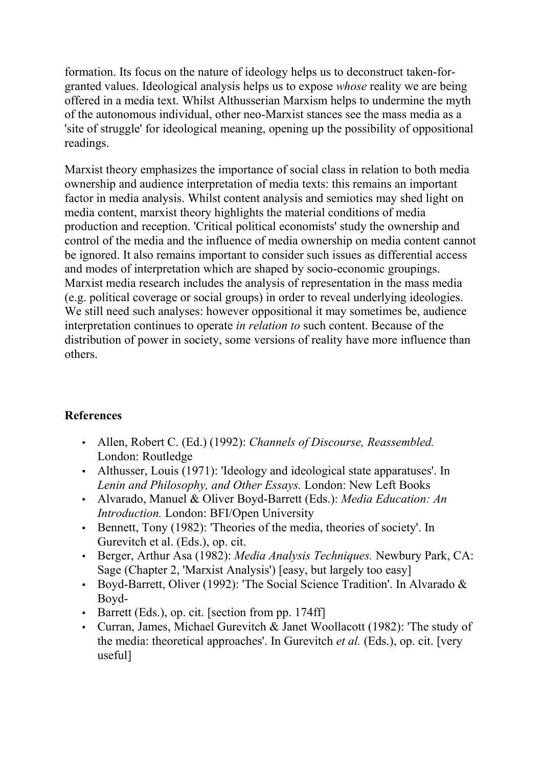formation. Its focus on the nature of ideology helps us to deconstruct taken-forgranted values. Ideological analysis helps us to expose *whose* reality we are being offered in a media text. Whilst Althusserian Marxism helps to undermine the myth of the autonomous individual, other neo-Marxist stances see the mass media as a 'site of struggle' for ideological meaning, opening up the possibility of oppositional readings.

Marxist theory emphasizes the importance of social class in relation to both media ownership and audience interpretation of media texts: this remains an important factor in media analysis. Whilst content analysis and semiotics may shed light on media content, marxist theory highlights the material conditions of media production and reception. 'Critical political economists' study the ownership and control of the media and the influence of media ownership on media content cannot be ignored. It also remains important to consider such issues as differential access and modes of interpretation which are shaped by socio-economic groupings. Marxist media research includes the analysis of representation in the mass media (e.g. political coverage or social groups) in order to reveal underlying ideologies. We still need such analyses: however oppositional it may sometimes be, audience interpretation continues to operate *in relation to* such content. Because of the distribution of power in society, some versions of reality have more influence than others.

# **References**

- Allen, Robert C. (Ed.) (1992): *Channels of Discourse, Reassembled.* London: Routledge
- Althusser, Louis (1971): 'Ideology and ideological state apparatuses'. In *Lenin and Philosophy, and Other Essays.* London: New Left Books
- Alvarado, Manuel & Oliver Boyd-Barrett (Eds.): *Media Education: An Introduction.* London: BFI/Open University
- Bennett, Tony (1982): 'Theories of the media, theories of society'. In Gurevitch et al. (Eds.), op. cit.
- Berger, Arthur Asa (1982): *Media Analysis Techniques.* Newbury Park, CA: Sage (Chapter 2, 'Marxist Analysis') [easy, but largely too easy]
- Boyd-Barrett, Oliver (1992): 'The Social Science Tradition'. In Alvarado & Boyd-
- Barrett (Eds.), op. cit. [section from pp. 174ff]
- Curran, James, Michael Gurevitch & Janet Woollacott (1982): 'The study of the media: theoretical approaches'. In Gurevitch *et al.* (Eds.), op. cit. [very useful]